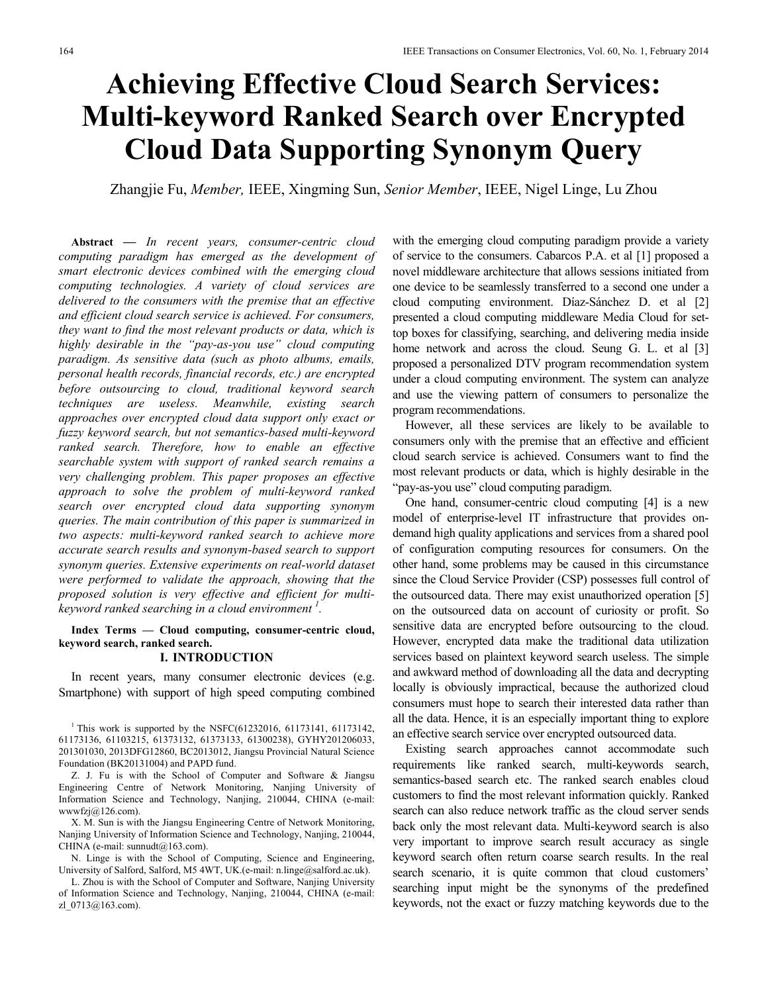# **Achieving Effective Cloud Search Services: Multi-keyword Ranked Search over Encrypted Cloud Data Supporting Synonym Query**

Zhangjie Fu, *Member,* IEEE, Xingming Sun, *Senior Member*, IEEE, Nigel Linge, Lu Zhou

**Abstract** *— In recent years, consumer-centric cloud computing paradigm has emerged as the development of smart electronic devices combined with the emerging cloud computing technologies. A variety of cloud services are delivered to the consumers with the premise that an effective and efficient cloud search service is achieved. For consumers, they want to find the most relevant products or data, which is highly desirable in the "pay-as-you use" cloud computing paradigm. As sensitive data (such as photo albums, emails, personal health records, financial records, etc.) are encrypted before outsourcing to cloud, traditional keyword search techniques are useless. Meanwhile, existing search approaches over encrypted cloud data support only exact or fuzzy keyword search, but not semantics-based multi-keyword ranked search. Therefore, how to enable an effective searchable system with support of ranked search remains a very challenging problem. This paper proposes an effective approach to solve the problem of multi-keyword ranked search over encrypted cloud data supporting synonym queries. The main contribution of this paper is summarized in two aspects: multi-keyword ranked search to achieve more accurate search results and synonym-based search to support synonym queries. Extensive experiments on real-world dataset were performed to validate the approach, showing that the proposed solution is very effective and efficient for multikeyword ranked searching in a cloud environment 1 .*

# **Index Terms — Cloud computing, consumer-centric cloud, keyword search, ranked search.**

#### **I. INTRODUCTION**

In recent years, many consumer electronic devices (e.g. Smartphone) with support of high speed computing combined

X. M. Sun is with the Jiangsu Engineering Centre of Network Monitoring, Nanjing University of Information Science and Technology, Nanjing, 210044, CHINA (e-mail: sunnudt@163.com).

N. Linge is with the School of Computing, Science and Engineering, University of Salford, Salford, M5 4WT, UK.(e-mail: n.linge@salford.ac.uk).

L. Zhou is with the School of Computer and Software, Nanjing University of Information Science and Technology, Nanjing, 210044, CHINA (e-mail: zl\_0713@163.com).

with the emerging cloud computing paradigm provide a variety of service to the consumers. Cabarcos P.A. et al [1] proposed a novel middleware architecture that allows sessions initiated from one device to be seamlessly transferred to a second one under a cloud computing environment. Díaz-Sánchez D. et al [2] presented a cloud computing middleware Media Cloud for settop boxes for classifying, searching, and delivering media inside home network and across the cloud. Seung G. L. et al [3] proposed a personalized DTV program recommendation system under a cloud computing environment. The system can analyze and use the viewing pattern of consumers to personalize the program recommendations.

However, all these services are likely to be available to consumers only with the premise that an effective and efficient cloud search service is achieved. Consumers want to find the most relevant products or data, which is highly desirable in the "pay-as-you use" cloud computing paradigm.

One hand, consumer-centric cloud computing [4] is a new model of enterprise-level IT infrastructure that provides ondemand high quality applications and services from a shared pool of configuration computing resources for consumers. On the other hand, some problems may be caused in this circumstance since the Cloud Service Provider (CSP) possesses full control of the outsourced data. There may exist unauthorized operation [5] on the outsourced data on account of curiosity or profit. So sensitive data are encrypted before outsourcing to the cloud. However, encrypted data make the traditional data utilization services based on plaintext keyword search useless. The simple and awkward method of downloading all the data and decrypting locally is obviously impractical, because the authorized cloud consumers must hope to search their interested data rather than all the data. Hence, it is an especially important thing to explore an effective search service over encrypted outsourced data.

Existing search approaches cannot accommodate such requirements like ranked search, multi-keywords search, semantics-based search etc. The ranked search enables cloud customers to find the most relevant information quickly. Ranked search can also reduce network traffic as the cloud server sends back only the most relevant data. Multi-keyword search is also very important to improve search result accuracy as single keyword search often return coarse search results. In the real search scenario, it is quite common that cloud customers' searching input might be the synonyms of the predefined keywords, not the exact or fuzzy matching keywords due to the

<sup>&</sup>lt;sup>1</sup> This work is supported by the NSFC(61232016, 61173141, 61173142, 61173136, 61103215, 61373132, 61373133, 61300238), GYHY201206033, 201301030, 2013DFG12860, BC2013012, Jiangsu Provincial Natural Science Foundation (BK20131004) and PAPD fund.

Z. J. Fu is with the School of Computer and Software & Jiangsu Engineering Centre of Network Monitoring, Nanjing University of Information Science and Technology, Nanjing, 210044, CHINA (e-mail: wwwfzj@126.com).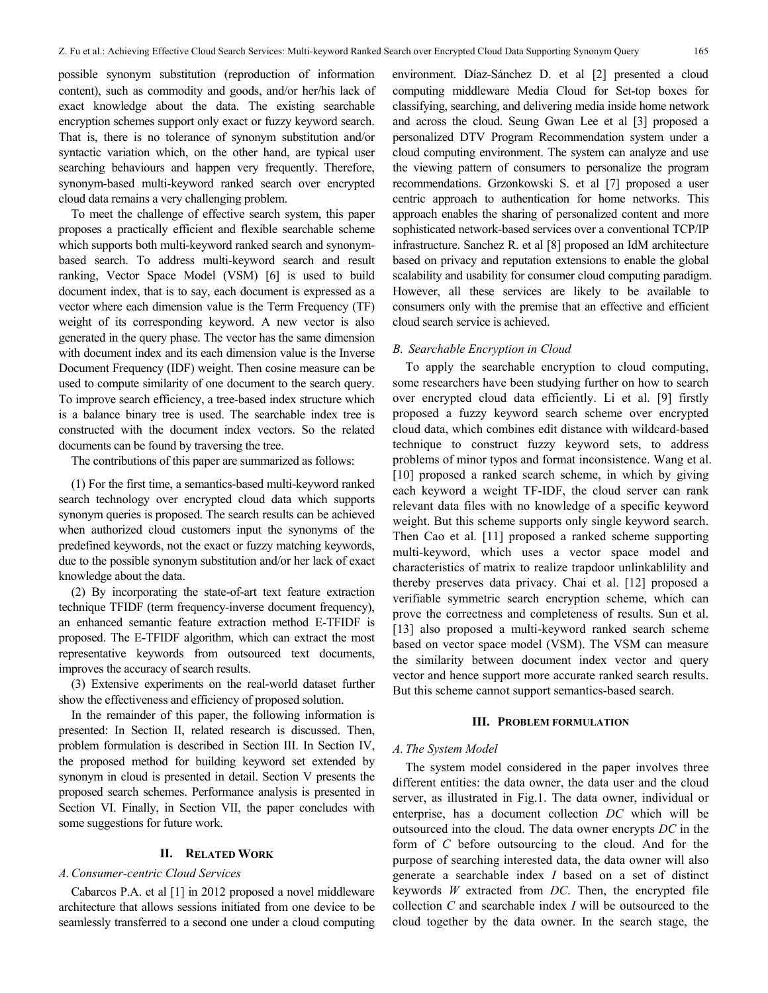possible synonym substitution (reproduction of information content), such as commodity and goods, and/or her/his lack of exact knowledge about the data. The existing searchable encryption schemes support only exact or fuzzy keyword search. That is, there is no tolerance of synonym substitution and/or syntactic variation which, on the other hand, are typical user searching behaviours and happen very frequently. Therefore, synonym-based multi-keyword ranked search over encrypted cloud data remains a very challenging problem.

To meet the challenge of effective search system, this paper proposes a practically efficient and flexible searchable scheme which supports both multi-keyword ranked search and synonymbased search. To address multi-keyword search and result ranking, Vector Space Model (VSM) [6] is used to build document index, that is to say, each document is expressed as a vector where each dimension value is the Term Frequency (TF) weight of its corresponding keyword. A new vector is also generated in the query phase. The vector has the same dimension with document index and its each dimension value is the Inverse Document Frequency (IDF) weight. Then cosine measure can be used to compute similarity of one document to the search query. To improve search efficiency, a tree-based index structure which is a balance binary tree is used. The searchable index tree is constructed with the document index vectors. So the related documents can be found by traversing the tree.

The contributions of this paper are summarized as follows:

(1) For the first time, a semantics-based multi-keyword ranked search technology over encrypted cloud data which supports synonym queries is proposed. The search results can be achieved when authorized cloud customers input the synonyms of the predefined keywords, not the exact or fuzzy matching keywords, due to the possible synonym substitution and/or her lack of exact knowledge about the data.

(2) By incorporating the state-of-art text feature extraction technique TFIDF (term frequency-inverse document frequency), an enhanced semantic feature extraction method E-TFIDF is proposed. The E-TFIDF algorithm, which can extract the most representative keywords from outsourced text documents, improves the accuracy of search results.

(3) Extensive experiments on the real-world dataset further show the effectiveness and efficiency of proposed solution.

In the remainder of this paper, the following information is presented: In Section II, related research is discussed. Then, problem formulation is described in Section III. In Section IV, the proposed method for building keyword set extended by synonym in cloud is presented in detail. Section V presents the proposed search schemes. Performance analysis is presented in Section VI. Finally, in Section VII, the paper concludes with some suggestions for future work.

## **II. RELATED WORK**

#### *A.Consumer-centric Cloud Services*

Cabarcos P.A. et al [1] in 2012 proposed a novel middleware architecture that allows sessions initiated from one device to be seamlessly transferred to a second one under a cloud computing

environment. Díaz-Sánchez D. et al [2] presented a cloud computing middleware Media Cloud for Set-top boxes for classifying, searching, and delivering media inside home network and across the cloud. Seung Gwan Lee et al [3] proposed a personalized DTV Program Recommendation system under a cloud computing environment. The system can analyze and use the viewing pattern of consumers to personalize the program recommendations. Grzonkowski S. et al [7] proposed a user centric approach to authentication for home networks. This approach enables the sharing of personalized content and more sophisticated network-based services over a conventional TCP/IP infrastructure. Sanchez R. et al [8] proposed an IdM architecture based on privacy and reputation extensions to enable the global scalability and usability for consumer cloud computing paradigm. However, all these services are likely to be available to consumers only with the premise that an effective and efficient cloud search service is achieved.

#### *B. Searchable Encryption in Cloud*

To apply the searchable encryption to cloud computing, some researchers have been studying further on how to search over encrypted cloud data efficiently. Li et al. [9] firstly proposed a fuzzy keyword search scheme over encrypted cloud data, which combines edit distance with wildcard-based technique to construct fuzzy keyword sets, to address problems of minor typos and format inconsistence. Wang et al. [10] proposed a ranked search scheme, in which by giving each keyword a weight TF-IDF, the cloud server can rank relevant data files with no knowledge of a specific keyword weight. But this scheme supports only single keyword search. Then Cao et al. [11] proposed a ranked scheme supporting multi-keyword, which uses a vector space model and characteristics of matrix to realize trapdoor unlinkablility and thereby preserves data privacy. Chai et al. [12] proposed a verifiable symmetric search encryption scheme, which can prove the correctness and completeness of results. Sun et al. [13] also proposed a multi-keyword ranked search scheme based on vector space model (VSM). The VSM can measure the similarity between document index vector and query vector and hence support more accurate ranked search results. But this scheme cannot support semantics-based search.

#### **III. PROBLEM FORMULATION**

# *A. The System Model*

The system model considered in the paper involves three different entities: the data owner, the data user and the cloud server, as illustrated in Fig.1. The data owner, individual or enterprise, has a document collection *DC* which will be outsourced into the cloud. The data owner encrypts *DC* in the form of *C* before outsourcing to the cloud. And for the purpose of searching interested data, the data owner will also generate a searchable index *I* based on a set of distinct keywords *W* extracted from *DC*. Then, the encrypted file collection *C* and searchable index *I* will be outsourced to the cloud together by the data owner. In the search stage, the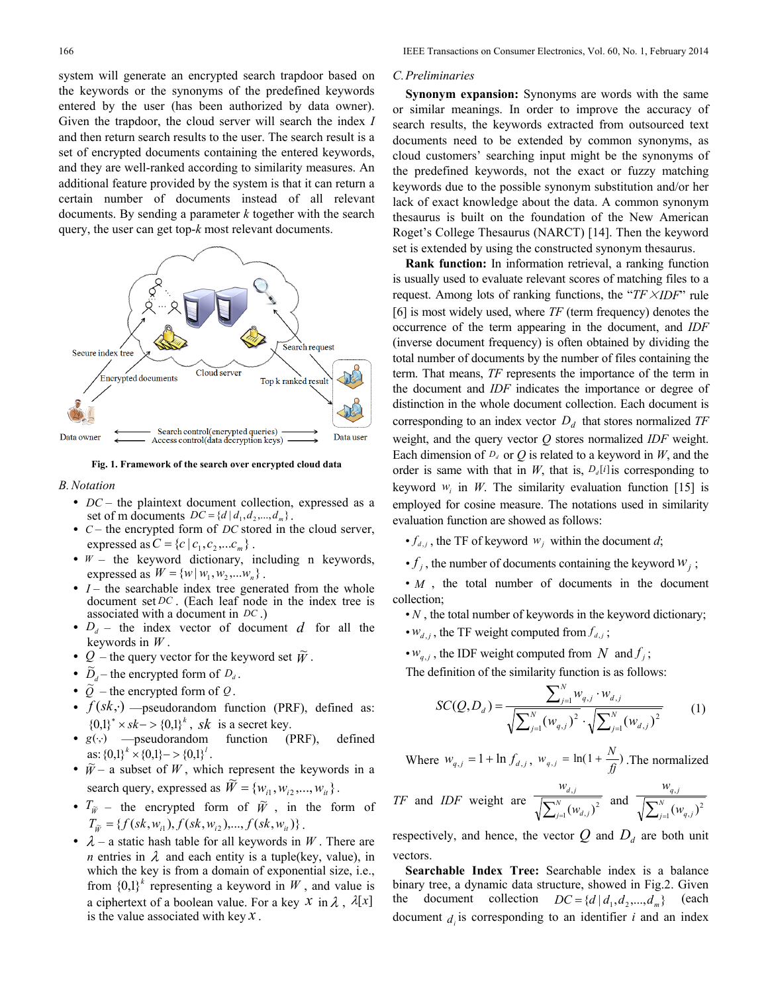system will generate an encrypted search trapdoor based on the keywords or the synonyms of the predefined keywords entered by the user (has been authorized by data owner). Given the trapdoor, the cloud server will search the index *I* and then return search results to the user. The search result is a set of encrypted documents containing the entered keywords, and they are well-ranked according to similarity measures. An additional feature provided by the system is that it can return a certain number of documents instead of all relevant documents. By sending a parameter *k* together with the search query, the user can get top-*k* most relevant documents.



**Fig. 1. Framework of the search over encrypted cloud data** 

#### *B.Notation*

- *DC* the plaintext document collection, expressed as a set of m documents  $DC = \{d \mid d_1, d_2, ..., d_m\}$ .
- *C* the encrypted form of *DC* stored in the cloud server, expressed as  $C = \{c \mid c_1, c_2, ... c_m\}$ .
- $\bullet$  *W* the keyword dictionary, including n keywords, expressed as  $W = \{w | w_1, w_2, ... w_n\}$ .
- *I* the searchable index tree generated from the whole document set *DC* . (Each leaf node in the index tree is associated with a document in *DC* .)
- $D_d$  the index vector of document *d* for all the keywords in *W* .
- $Q$  the query vector for the keyword set  $\widetilde{W}$ .
- $\widetilde{D}_d$  the encrypted form of  $D_d$ .
- $\tilde{Q}$  the encrypted form of *Q*.
- $f(sk, \cdot)$  —pseudorandom function (PRF), defined as:  ${0,1}^* \times sk \rightarrow {0,1}^k$ , *sk* is a secret key.<br>  $g(\cdot)$  —pseudorandom function (1)
- $g(\cdot;)$  —pseudorandom function (PRF), defined as:  $\{0,1\}^k \times \{0,1\}^- > \{0,1\}^l$ .
- $\widetilde{W}$  a subset of *W*, which represent the keywords in a search query, expressed as  $\widetilde{W} = \{w_{i1}, w_{i2},..., w_{i} \}$ .
- $T_{\widetilde{W}}$  the encrypted form of  $\widetilde{W}$ , in the form of  $T_{\widetilde{W}} = \{f(sk, w_{i1}), f(sk, w_{i2}), ..., f(sk, w_{it})\}.$
- $\lambda$  a static hash table for all keywords in *W*. There are *n* entries in  $\lambda$  and each entity is a tuple(key, value), in which the key is from a domain of exponential size, i.e., from  ${0,1}^k$  representing a keyword in *W*, and value is a ciphertext of a boolean value. For a key  $x$  in  $\lambda$ ,  $\lambda[x]$ is the value associated with key *x* .

#### *C.Preliminaries*

**Synonym expansion:** Synonyms are words with the same or similar meanings. In order to improve the accuracy of search results, the keywords extracted from outsourced text documents need to be extended by common synonyms, as cloud customers' searching input might be the synonyms of the predefined keywords, not the exact or fuzzy matching keywords due to the possible synonym substitution and/or her lack of exact knowledge about the data. A common synonym thesaurus is built on the foundation of the New American Roget's College Thesaurus (NARCT) [14]. Then the keyword set is extended by using the constructed synonym thesaurus.

**Rank function:** In information retrieval, a ranking function is usually used to evaluate relevant scores of matching files to a request. Among lots of ranking functions, the "*TF*×*IDF*" rule [6] is most widely used, where *TF* (term frequency) denotes the occurrence of the term appearing in the document, and *IDF* (inverse document frequency) is often obtained by dividing the total number of documents by the number of files containing the term. That means, *TF* represents the importance of the term in the document and *IDF* indicates the importance or degree of distinction in the whole document collection. Each document is corresponding to an index vector  $D_d$  that stores normalized *TF* weight, and the query vector *Q* stores normalized *IDF* weight. Each dimension of  $D_d$  or  $Q$  is related to a keyword in  $W$ , and the order is same with that in *W*, that is,  $D_d[i]$  is corresponding to keyword  $w_i$  in *W*. The similarity evaluation function [15] is employed for cosine measure. The notations used in similarity evaluation function are showed as follows:

•  $f_{d,j}$ , the TF of keyword  $W_j$  within the document *d*;

•  $f_i$ , the number of documents containing the keyword  $W_i$ ;

• *M*, the total number of documents in the document collection;

- *N* , the total number of keywords in the keyword dictionary;
- $W_{d,j}$ , the TF weight computed from  $f_{d,j}$ ;
- $w_{q,j}$ , the IDF weight computed from *N* and  $f_j$ ;

The definition of the similarity function is as follows:

$$
SC(Q, D_d) = \frac{\sum_{j=1}^{N} w_{q,j} \cdot w_{d,j}}{\sqrt{\sum_{j=1}^{N} (w_{q,j})^2} \cdot \sqrt{\sum_{j=1}^{N} (w_{d,j})^2}}
$$
(1)

Where  $w_{q,j} = 1 + \ln f_{d,j}$ ,  $w_{q,j} = \ln(1 + \frac{N}{f})$ . The normalized

$$
TF \text{ and } IDF \text{ weight are } \frac{w_{d,j}}{\sqrt{\sum_{j=1}^{N} (w_{d,j})^2}} \text{ and } \frac{w_{q,j}}{\sqrt{\sum_{j=1}^{N} (w_{q,j})^2}}
$$

respectively, and hence, the vector  $Q$  and  $D_d$  are both unit vectors.

**Searchable Index Tree:** Searchable index is a balance binary tree, a dynamic data structure, showed in Fig.2. Given the document collection  $DC = \{d \mid d_1, d_2, ..., d_m\}$  (each document  $d_i$  is corresponding to an identifier *i* and an index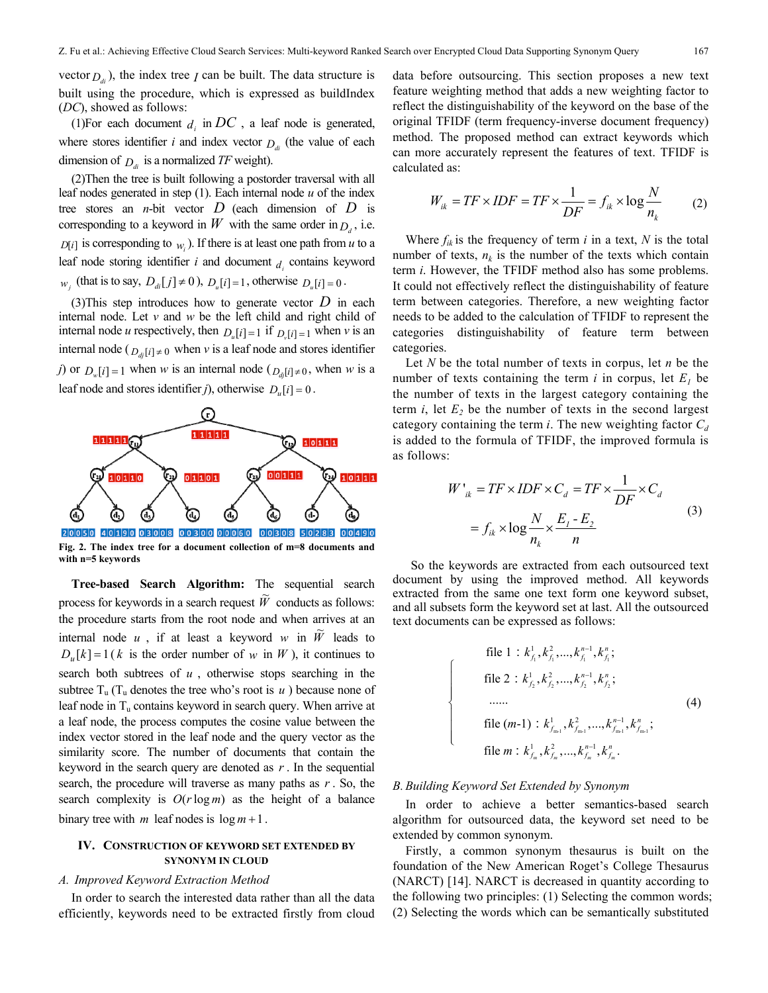vector  $D_{\mu}$ ), the index tree *I* can be built. The data structure is built using the procedure, which is expressed as buildIndex (*DC*), showed as follows:

(1)For each document  $d_i$ , in  $DC$ , a leaf node is generated, where stores identifier *i* and index vector  $D_{di}$  (the value of each dimension of  $D_{\mu}$  is a normalized *TF* weight).

(2)Then the tree is built following a postorder traversal with all leaf nodes generated in step (1). Each internal node *u* of the index tree stores an *n*-bit vector *D* (each dimension of *D* is corresponding to a keyword in *W* with the same order in  $D_{d}$ , i.e.  $D[i]$  is corresponding to  $w_i$ ). If there is at least one path from *u* to a leaf node storing identifier  $i$  and document  $d_i$  contains keyword  $w_j$  (that is to say,  $D_{di}[j] \neq 0$ ),  $D_{u}[i] = 1$ , otherwise  $D_{u}[i] = 0$ .

(3) This step introduces how to generate vector  $D$  in each internal node. Let *v* and *w* be the left child and right child of internal node *u* respectively, then  $D_u[i] = 1$  if  $D_v[i] = 1$  when *v* is an internal node ( $D_{di}[i] \neq 0$  when *v* is a leaf node and stores identifier *j*) or  $D_w[i] = 1$  when *w* is an internal node ( $D_{dy}[i] \neq 0$ , when *w* is a leaf node and stores identifier *j*), otherwise  $D_{\nu}[i] = 0$ .



**Fig. 2. The index tree for a document collection of m=8 documents and with n=5 keywords** 

**Tree-based Search Algorithm:** The sequential search process for keywords in a search request  $\widetilde{W}$  conducts as follows: the procedure starts from the root node and when arrives at an internal node *u*, if at least a keyword *w* in  $\widetilde{W}$  leads to  $D_{\nu}[k] = 1$  (*k* is the order number of *w* in *W*), it continues to search both subtrees of *u* , otherwise stops searching in the subtree  $T_u$  ( $T_u$  denotes the tree who's root is *u*) because none of leaf node in  $T_u$  contains keyword in search query. When arrive at a leaf node, the process computes the cosine value between the index vector stored in the leaf node and the query vector as the similarity score. The number of documents that contain the keyword in the search query are denoted as *r* . In the sequential search, the procedure will traverse as many paths as *r* . So, the search complexity is  $O(r \log m)$  as the height of a balance binary tree with *m* leaf nodes is  $\log m + 1$ .

# **IV. CONSTRUCTION OF KEYWORD SET EXTENDED BY SYNONYM IN CLOUD**

#### *A. Improved Keyword Extraction Method*

In order to search the interested data rather than all the data efficiently, keywords need to be extracted firstly from cloud data before outsourcing. This section proposes a new text feature weighting method that adds a new weighting factor to reflect the distinguishability of the keyword on the base of the original TFIDF (term frequency-inverse document frequency) method. The proposed method can extract keywords which can more accurately represent the features of text. TFIDF is calculated as:

$$
W_{ik} = TF \times IDF = TF \times \frac{1}{DF} = f_{ik} \times \log \frac{N}{n_k}
$$
 (2)

Where  $f_{ik}$  is the frequency of term  $i$  in a text,  $N$  is the total number of texts,  $n_k$  is the number of the texts which contain term *i*. However, the TFIDF method also has some problems. It could not effectively reflect the distinguishability of feature term between categories. Therefore, a new weighting factor needs to be added to the calculation of TFIDF to represent the categories distinguishability of feature term between categories.

Let *N* be the total number of texts in corpus, let *n* be the number of texts containing the term  $i$  in corpus, let  $E_i$  be the number of texts in the largest category containing the term  $i$ , let  $E<sub>2</sub>$  be the number of texts in the second largest category containing the term *i*. The new weighting factor  $C_d$ is added to the formula of TFIDF, the improved formula is as follows:

$$
W'_{ik} = TF \times IDF \times C_d = TF \times \frac{1}{DF} \times C_d
$$
  
=  $f_{ik} \times \log \frac{N}{n_k} \times \frac{E_i - E_2}{n}$  (3)

So the keywords are extracted from each outsourced text document by using the improved method. All keywords extracted from the same one text form one keyword subset, and all subsets form the keyword set at last. All the outsourced text documents can be expressed as follows:

file 1 : 
$$
k_{f_1}^1, k_{f_1}^2, ..., k_{f_1}^{n-1}, k_{f_1}^n
$$
;  
\nfile 2 :  $k_{f_2}^1, k_{f_2}^2, ..., k_{f_2}^{n-1}, k_{f_2}^n$ ;  
\n........  
\nfile  $(m-1)$  :  $k_{f_{m-1}}^1, k_{f_{m-1}}^2, ..., k_{f_{m-1}}^{n-1}, k_{f_{m-1}}^n$ ;  
\nfile  $m$  :  $k_{f_m}^1, k_{f_m}^2, ..., k_{f_m}^{n-1}, k_{f_m}^n$ .

#### *B.Building Keyword Set Extended by Synonym*

 $\int$  $\overline{1}$  $\vert$ ₹  $\overline{1}$  $\overline{1}$  $\overline{\mathcal{L}}$ 

In order to achieve a better semantics-based search algorithm for outsourced data, the keyword set need to be extended by common synonym.

Firstly, a common synonym thesaurus is built on the foundation of the New American Roget's College Thesaurus (NARCT) [14]. NARCT is decreased in quantity according to the following two principles: (1) Selecting the common words; (2) Selecting the words which can be semantically substituted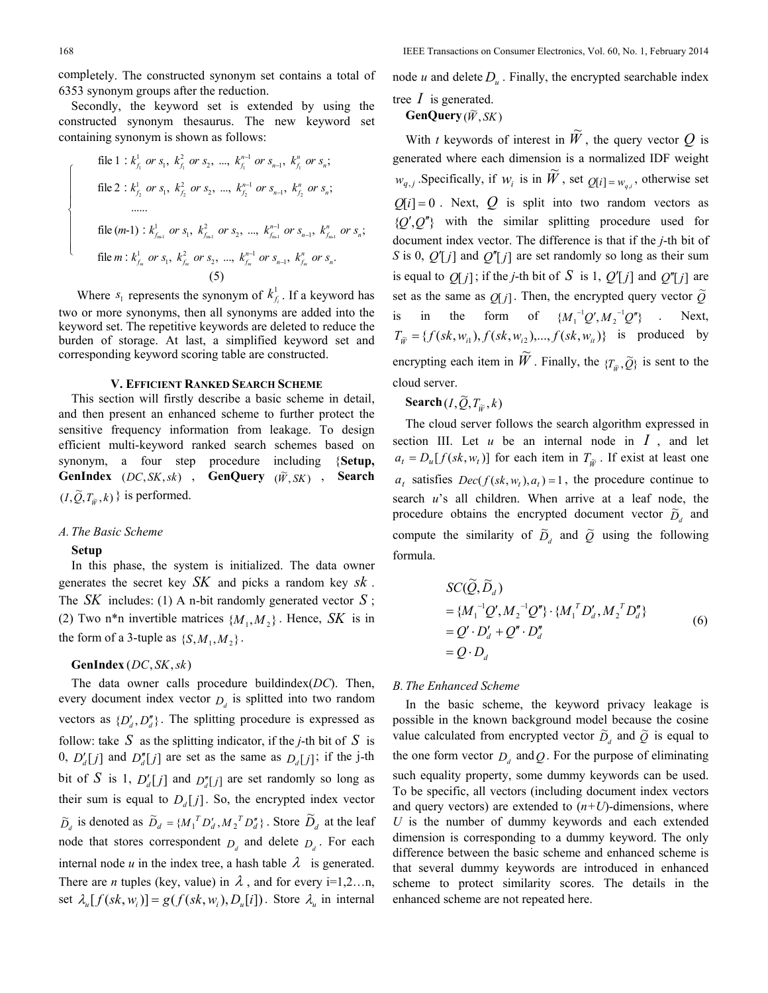completely. The constructed synonym set contains a total of 6353 synonym groups after the reduction.

Secondly, the keyword set is extended by using the constructed synonym thesaurus. The new keyword set containing synonym is shown as follows:

file 1 : 
$$
k_{f_1}^1
$$
 or  $s_1$ ,  $k_{f_1}^2$  or  $s_2$ , ...,  $k_{f_1}^{n-1}$  or  $s_{n-1}$ ,  $k_{f_1}^n$  or  $s_n$ ;  
\nfile 2 :  $k_{f_2}^1$  or  $s_1$ ,  $k_{f_2}^2$  or  $s_2$ , ...,  $k_{f_2}^{n-1}$  or  $s_{n-1}$ ,  $k_{f_2}^n$  or  $s_n$ ;  
\n........  
\nfile (m-1) :  $k_{f_{m1}}^1$  or  $s_1$ ,  $k_{f_{m1}}^2$  or  $s_2$ , ...,  $k_{f_{m1}}^{n-1}$  or  $s_{n-1}$ ,  $k_{f_{m1}}^n$  or  $s_n$ ;  
\nfile m :  $k_{f_m}^1$  or  $s_1$ ,  $k_{f_m}^2$  or  $s_2$ , ...,  $k_{f_m}^{n-1}$  or  $s_{n-1}$ ,  $k_{f_m}^n$  or  $s_n$ .  
\n(5)

Where  $s_1$  represents the synonym of  $k_f^1$ . If a keyword has two or more synonyms, then all synonyms are added into the keyword set. The repetitive keywords are deleted to reduce the burden of storage. At last, a simplified keyword set and corresponding keyword scoring table are constructed.

## **V. EFFICIENT RANKED SEARCH SCHEME**

This section will firstly describe a basic scheme in detail, and then present an enhanced scheme to further protect the sensitive frequency information from leakage. To design efficient multi-keyword ranked search schemes based on synonym, a four step procedure including {**Setup, GenIndex**  $(DC, SK, sk)$ , **GenQuery**  $(\widetilde{W}, SK)$ , **Search**  $(I, \widetilde{Q}, T_{\widetilde{W}}, k)$  } is performed.

#### *A. The Basic Scheme*

# **Setup**

In this phase, the system is initialized. The data owner generates the secret key *SK* and picks a random key *sk* . The *SK* includes: (1) A n-bit randomly generated vector *S* ; (2) Two n<sup>\*</sup>n invertible matrices  ${M_1, M_2}$ . Hence, *SK* is in the form of a 3-tuple as  ${S, M_1, M_2}$ .

# $GenIndex(DC, SK, sk)$

The data owner calls procedure buildindex(*DC*). Then, every document index vector  $D_d$  is splitted into two random vectors as  ${D'_d, D''_d}$ . The splitting procedure is expressed as follow: take S as the splitting indicator, if the *j*-th bit of S is 0,  $D'_d[j]$  and  $D''_d[j]$  are set as the same as  $D_d[j]$ ; if the j-th bit of *S* is 1,  $D'_d[j]$  and  $D''_d[j]$  are set randomly so long as their sum is equal to  $D_d[j]$ . So, the encrypted index vector  $\widetilde{D}_d$  is denoted as  $\widetilde{D}_d = \{M_1^T D'_d, M_2^T D''_d\}$ . Store  $\widetilde{D}_d$  at the leaf node that stores correspondent  $D_d$  and delete  $D_d$ . For each internal node *u* in the index tree, a hash table  $\lambda$  is generated. There are *n* tuples (key, value) in  $\lambda$ , and for every i=1,2...n, set  $\lambda_u[f(sk, w_i)] = g(f(sk, w_i), D_u[i])$ . Store  $\lambda_u$  in internal

node  $u$  and delete  $D_u$ . Finally, the encrypted searchable index tree *I* is generated.

# $GenQuery (\widetilde{W}, \widetilde{SK})$

With *t* keywords of interest in  $\widetilde{W}$ , the query vector  $Q$  is generated where each dimension is a normalized IDF weight  $w_{q,j}$ . Specifically, if  $w_i$  is in  $\widetilde{W}$ , set  $Q[i] = w_{q,i}$ , otherwise set  $Q[i] = 0$ . Next,  $Q$  is split into two random vectors as  ${Q', Q''}$  with the similar splitting procedure used for document index vector. The difference is that if the *j*-th bit of *S* is 0,  $Q'$ [ *j*] and  $Q''$ [ *j*] are set randomly so long as their sum is equal to  $Q[j]$ ; if the *j*-th bit of *S* is 1,  $Q'[j]$  and  $Q''[j]$  are set as the same as  $Q[j]$ . Then, the encrypted query vector  $\tilde{Q}$ is in the form of  ${M_1}^{-1}Q', {M_2}^{-1}Q''$  . Next,  $T_{\tilde{W}} = \{f(sk, w_{i1}), f(sk, w_{i2}), ..., f(sk, w_{it})\}$  is produced by encrypting each item in  $\widetilde{W}$ . Finally, the  $\{T_{\widetilde{W}}, \widetilde{Q}\}$  is sent to the cloud server.

 $\textbf{Search}(I, \widetilde{\mathcal{Q}}, T_{\widetilde{W}}, k)$ 

The cloud server follows the search algorithm expressed in section III. Let  $u$  be an internal node in  $I$ , and let  $a_t = D_u[f(s k, w_t)]$  for each item in  $T_{\tilde{w}}$ . If exist at least one  $a_t$  satisfies  $Dec(f(s_k, w_t), a_t) = 1$ , the procedure continue to search *u*'s all children. When arrive at a leaf node, the procedure obtains the encrypted document vector  $\tilde{D}_d$  and compute the similarity of  $\tilde{D}_d$  and  $\tilde{Q}$  using the following formula.

$$
SC(\tilde{Q}, \tilde{D}_d)
$$
  
= { $M_1^{-1}Q', M_2^{-1}Q''$ } \t { $M_1^{T}D'_d, M_2^{T}D''_d$ }  
=  $Q' \cdot D'_d + Q'' \cdot D''_d$   
=  $Q \cdot D_d$  (6)

# *B. The Enhanced Scheme*

In the basic scheme, the keyword privacy leakage is possible in the known background model because the cosine value calculated from encrypted vector  $\tilde{D}_d$  and  $\tilde{Q}$  is equal to the one form vector  $D_d$  and Q. For the purpose of eliminating such equality property, some dummy keywords can be used. To be specific, all vectors (including document index vectors and query vectors) are extended to  $(n+U)$ -dimensions, where *U* is the number of dummy keywords and each extended dimension is corresponding to a dummy keyword. The only difference between the basic scheme and enhanced scheme is that several dummy keywords are introduced in enhanced scheme to protect similarity scores. The details in the enhanced scheme are not repeated here.

 $\int$  $\mathbf{I}$  $\mathbf{I}$  $\mathbf{I}$ ₹  $\mathbf{I}$  $\mathbf{I}$  $\mathbf{I}$  $\overline{\mathfrak{l}}$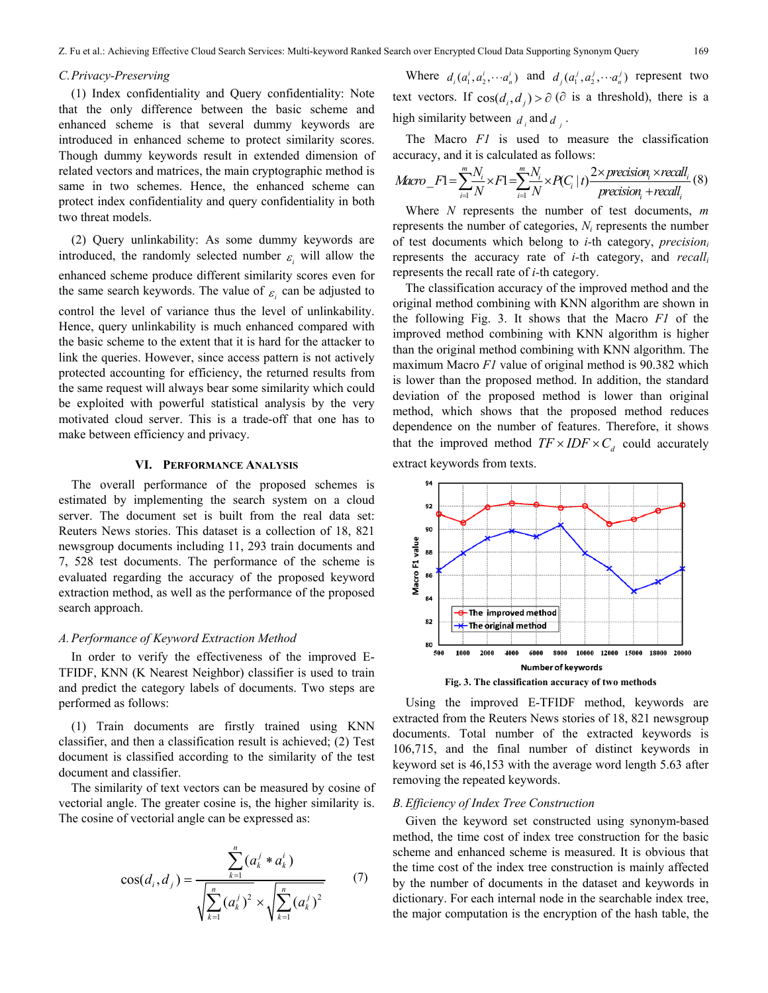# *C.Privacy-Preserving*

(1) Index confidentiality and Query confidentiality: Note that the only difference between the basic scheme and enhanced scheme is that several dummy keywords are introduced in enhanced scheme to protect similarity scores. Though dummy keywords result in extended dimension of related vectors and matrices, the main cryptographic method is same in two schemes. Hence, the enhanced scheme can protect index confidentiality and query confidentiality in both two threat models.

(2) Query unlinkability: As some dummy keywords are introduced, the randomly selected number  $\varepsilon$  will allow the enhanced scheme produce different similarity scores even for the same search keywords. The value of  $\varepsilon$  can be adjusted to control the level of variance thus the level of unlinkability. Hence, query unlinkability is much enhanced compared with the basic scheme to the extent that it is hard for the attacker to link the queries. However, since access pattern is not actively protected accounting for efficiency, the returned results from the same request will always bear some similarity which could be exploited with powerful statistical analysis by the very motivated cloud server. This is a trade-off that one has to make between efficiency and privacy.

# **VI. PERFORMANCE ANALYSIS**

The overall performance of the proposed schemes is estimated by implementing the search system on a cloud server. The document set is built from the real data set: Reuters News stories. This dataset is a collection of 18, 821 newsgroup documents including 11, 293 train documents and 7, 528 test documents. The performance of the scheme is evaluated regarding the accuracy of the proposed keyword extraction method, as well as the performance of the proposed search approach.

# *A.Performance of Keyword Extraction Method*

In order to verify the effectiveness of the improved E-TFIDF, KNN (K Nearest Neighbor) classifier is used to train and predict the category labels of documents. Two steps are performed as follows:

(1) Train documents are firstly trained using KNN classifier, and then a classification result is achieved; (2) Test document is classified according to the similarity of the test document and classifier.

The similarity of text vectors can be measured by cosine of vectorial angle. The greater cosine is, the higher similarity is. The cosine of vectorial angle can be expressed as:

$$
\cos(d_i, d_j) = \frac{\sum_{k=1}^n (a_k^j * a_k^i)}{\sqrt{\sum_{k=1}^n (a_k^j)^2} \times \sqrt{\sum_{k=1}^n (a_k^j)^2}}
$$
(7)

Where  $d_i(a_1^i, a_2^i, \cdots, a_n^i)$  and  $d_j(a_1^j, a_2^j, \cdots, a_n^j)$  represent two text vectors. If  $cos(d_i, d_j) > \partial (\partial \text{ is a threshold})$ , there is a high similarity between  $d_i$  and  $d_i$ .

The Macro *F1* is used to measure the classification accuracy, and it is calculated as follows:

$$
Macco\_F1 = \sum_{i=1}^{m} \frac{N_i}{N} \times F1 = \sum_{i=1}^{m} \frac{N_i}{N} \times P(C_i \mid t) \frac{2 \times precision_i \times recall_i}{precision_i + recall_i}
$$
(8)

Where *N* represents the number of test documents, *m*  represents the number of categories, *Ni* represents the number of test documents which belong to *i-*th category, *precisioni* represents the accuracy rate of *i*-th category, and *recall<sub>i</sub>* represents the recall rate of *i-*th category.

The classification accuracy of the improved method and the original method combining with KNN algorithm are shown in the following Fig. 3. It shows that the Macro *F1* of the improved method combining with KNN algorithm is higher than the original method combining with KNN algorithm. The maximum Macro *F1* value of original method is 90.382 which is lower than the proposed method. In addition, the standard deviation of the proposed method is lower than original method, which shows that the proposed method reduces dependence on the number of features. Therefore, it shows that the improved method  $TF \times IDF \times C_d$  could accurately extract keywords from texts.



Using the improved E-TFIDF method, keywords are extracted from the Reuters News stories of 18, 821 newsgroup documents. Total number of the extracted keywords is 106,715, and the final number of distinct keywords in keyword set is 46,153 with the average word length 5.63 after removing the repeated keywords.

# *B.Efficiency of Index Tree Construction*

Given the keyword set constructed using synonym-based method, the time cost of index tree construction for the basic scheme and enhanced scheme is measured. It is obvious that the time cost of the index tree construction is mainly affected by the number of documents in the dataset and keywords in dictionary. For each internal node in the searchable index tree, the major computation is the encryption of the hash table, the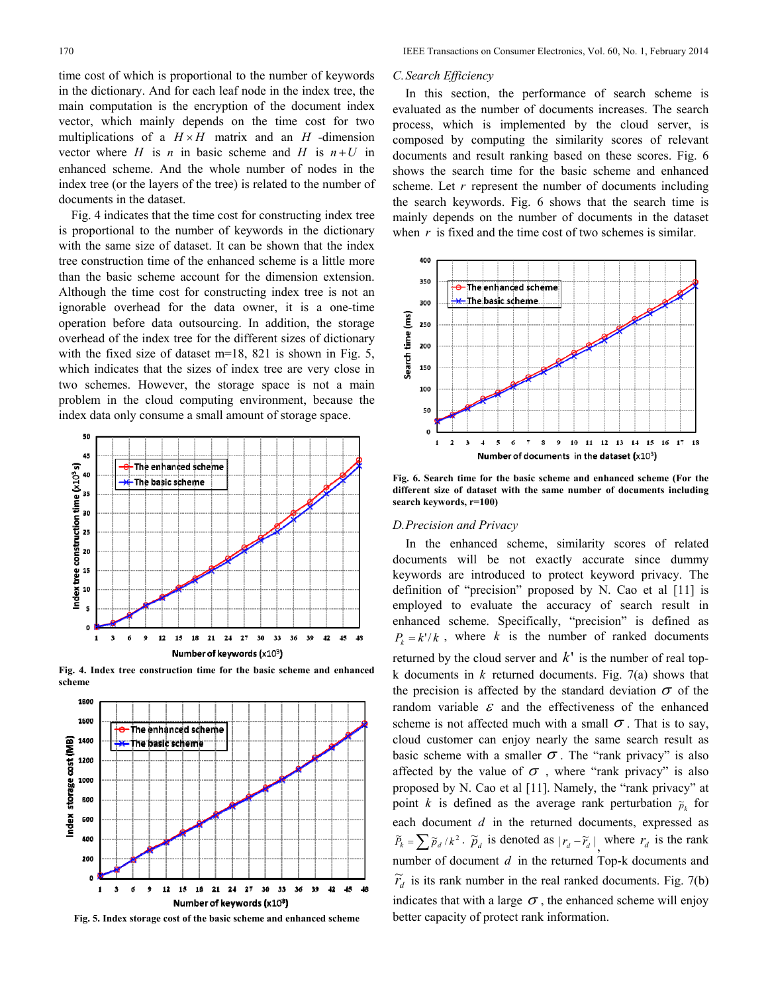time cost of which is proportional to the number of keywords in the dictionary. And for each leaf node in the index tree, the main computation is the encryption of the document index vector, which mainly depends on the time cost for two multiplications of a  $H \times H$  matrix and an *H* -dimension vector where *H* is *n* in basic scheme and *H* is  $n+U$  in enhanced scheme. And the whole number of nodes in the index tree (or the layers of the tree) is related to the number of documents in the dataset.

Fig. 4 indicates that the time cost for constructing index tree is proportional to the number of keywords in the dictionary with the same size of dataset. It can be shown that the index tree construction time of the enhanced scheme is a little more than the basic scheme account for the dimension extension. Although the time cost for constructing index tree is not an ignorable overhead for the data owner, it is a one-time operation before data outsourcing. In addition, the storage overhead of the index tree for the different sizes of dictionary with the fixed size of dataset m=18, 821 is shown in Fig. 5, which indicates that the sizes of index tree are very close in two schemes. However, the storage space is not a main problem in the cloud computing environment, because the index data only consume a small amount of storage space.



**Fig. 4. Index tree construction time for the basic scheme and enhanced scheme** 



**Fig. 5. Index storage cost of the basic scheme and enhanced scheme** 

# *C.Search Efficiency*

In this section, the performance of search scheme is evaluated as the number of documents increases. The search process, which is implemented by the cloud server, is composed by computing the similarity scores of relevant documents and result ranking based on these scores. Fig. 6 shows the search time for the basic scheme and enhanced scheme. Let *r* represent the number of documents including the search keywords. Fig. 6 shows that the search time is mainly depends on the number of documents in the dataset when *r* is fixed and the time cost of two schemes is similar.



**Fig. 6. Search time for the basic scheme and enhanced scheme (For the different size of dataset with the same number of documents including search keywords, r=100)** 

# *D.Precision and Privacy*

In the enhanced scheme, similarity scores of related documents will be not exactly accurate since dummy keywords are introduced to protect keyword privacy. The definition of "precision" proposed by N. Cao et al [11] is employed to evaluate the accuracy of search result in enhanced scheme. Specifically, "precision" is defined as  $P_k = k'/k$ , where *k* is the number of ranked documents returned by the cloud server and *k*' is the number of real topk documents in *k* returned documents. Fig. 7(a) shows that the precision is affected by the standard deviation  $\sigma$  of the random variable  $\varepsilon$  and the effectiveness of the enhanced scheme is not affected much with a small  $\sigma$ . That is to say, cloud customer can enjoy nearly the same search result as basic scheme with a smaller  $\sigma$ . The "rank privacy" is also affected by the value of  $\sigma$ , where "rank privacy" is also proposed by N. Cao et al [11]. Namely, the "rank privacy" at point *k* is defined as the average rank perturbation  $\tilde{p}_k$  for each document *d* in the returned documents, expressed as  $\widetilde{P}_k = \sum \widetilde{p}_d / k^2$ .  $\widetilde{p}_d$  is denoted as  $|r_d - \widetilde{r}_d|$ , where  $r_d$  is the rank number of document *d* in the returned Top-k documents and  $\widetilde{r}_d$  is its rank number in the real ranked documents. Fig. 7(b) indicates that with a large  $\sigma$ , the enhanced scheme will enjoy better capacity of protect rank information.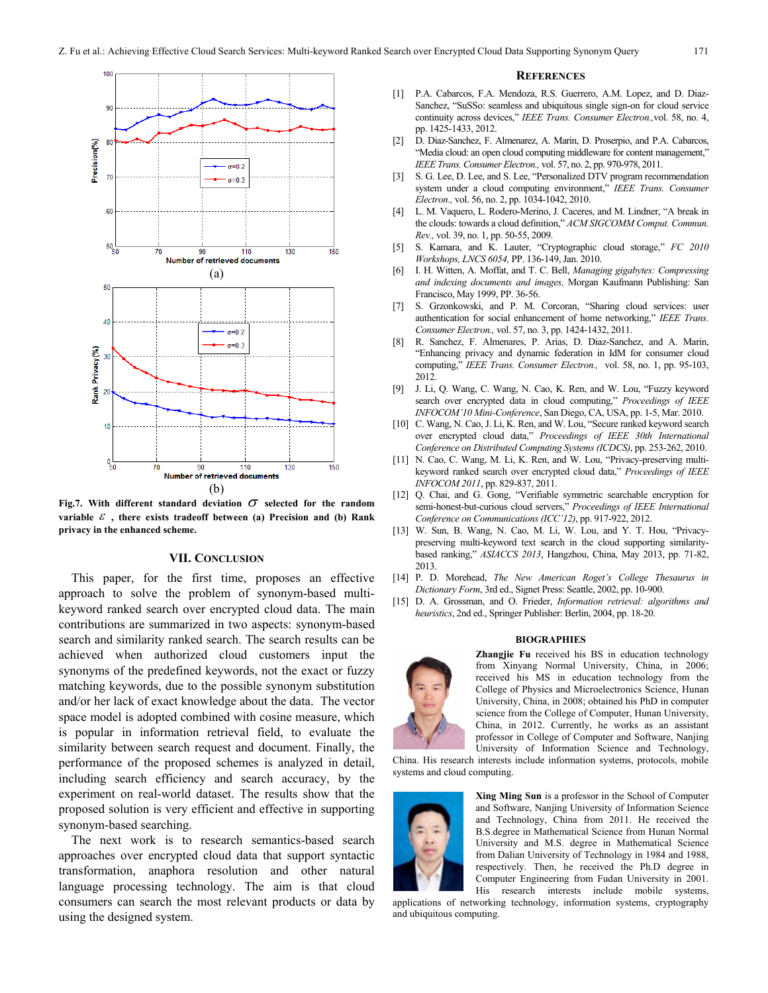

Fig.7. With different standard deviation  $\sigma$  selected for the random variable  $\mathcal E$ , there exists tradeoff between (a) Precision and (b) Rank **privacy in the enhanced scheme.** 

## **VII. CONCLUSION**

This paper, for the first time, proposes an effective approach to solve the problem of synonym-based multikeyword ranked search over encrypted cloud data. The main contributions are summarized in two aspects: synonym-based search and similarity ranked search. The search results can be achieved when authorized cloud customers input the synonyms of the predefined keywords, not the exact or fuzzy matching keywords, due to the possible synonym substitution and/or her lack of exact knowledge about the data. The vector space model is adopted combined with cosine measure, which is popular in information retrieval field, to evaluate the similarity between search request and document. Finally, the performance of the proposed schemes is analyzed in detail, including search efficiency and search accuracy, by the experiment on real-world dataset. The results show that the proposed solution is very efficient and effective in supporting synonym-based searching.

The next work is to research semantics-based search approaches over encrypted cloud data that support syntactic transformation, anaphora resolution and other natural language processing technology. The aim is that cloud consumers can search the most relevant products or data by using the designed system.

## **REFERENCES**

- [1] P.A. Cabarcos, F.A. Mendoza, R.S. Guerrero, A.M. Lopez, and D. Diaz-Sanchez, "SuSSo: seamless and ubiquitous single sign-on for cloud service continuity across devices," *IEEE Trans. Consumer Electron.,*vol. 58, no. 4, pp. 1425-1433, 2012.
- [2] D. Diaz-Sanchez, F. Almenarez, A. Marin, D. Proserpio, and P.A. Cabarcos, "Media cloud: an open cloud computing middleware for content management," *IEEE Trans. Consumer Electron.,* vol. 57, no. 2, pp. 970-978, 2011.
- [3] S. G. Lee, D. Lee, and S. Lee, "Personalized DTV program recommendation system under a cloud computing environment," *IEEE Trans. Consumer Electron.,* vol. 56, no. 2, pp. 1034-1042, 2010.
- [4] L. M. Vaquero, L. Rodero-Merino, J. Caceres, and M. Lindner, "A break in the clouds: towards a cloud definition," *ACM SIGCOMM Comput. Commun. Rev.,* vol. 39, no. 1, pp. 50-55, 2009.
- [5] S. Kamara, and K. Lauter, "Cryptographic cloud storage," *FC 2010 Workshops, LNCS 6054,* PP. 136-149, Jan. 2010.
- [6] I. H. Witten, A. Moffat, and T. C. Bell, *Managing gigabytes: Compressing and indexing documents and images,* Morgan Kaufmann Publishing: San Francisco, May 1999, PP. 36-56.
- [7] S. Grzonkowski, and P. M. Corcoran, "Sharing cloud services: user authentication for social enhancement of home networking," *IEEE Trans. Consumer Electron.,* vol. 57, no. 3, pp. 1424-1432, 2011.
- [8] R. Sanchez, F. Almenares, P. Arias, D. Diaz-Sanchez, and A. Marin, "Enhancing privacy and dynamic federation in IdM for consumer cloud computing," *IEEE Trans. Consumer Electron.,* vol. 58, no. 1, pp. 95-103, 2012.
- [9] J. Li, Q. Wang, C. Wang, N. Cao, K. Ren, and W. Lou, "Fuzzy keyword search over encrypted data in cloud computing," *Proceedings of IEEE INFOCOM'10 Mini-Conference*, San Diego, CA, USA, pp. 1-5, Mar. 2010.
- [10] C. Wang, N. Cao, J. Li, K. Ren, and W. Lou, "Secure ranked keyword search over encrypted cloud data," *Proceedings of IEEE 30th International Conference on Distributed Computing Systems (ICDCS)*, pp. 253-262, 2010.
- [11] N. Cao, C. Wang, M. Li, K. Ren, and W. Lou, "Privacy-preserving multikeyword ranked search over encrypted cloud data," *Proceedings of IEEE INFOCOM 2011*, pp. 829-837, 2011.
- [12] Q. Chai, and G. Gong, "Verifiable symmetric searchable encryption for semi-honest-but-curious cloud servers," *Proceedings of IEEE International Conference on Communications (ICC'12)*, pp. 917-922, 2012.
- [13] W. Sun, B. Wang, N. Cao, M. Li, W. Lou, and Y. T. Hou, "Privacypreserving multi-keyword text search in the cloud supporting similaritybased ranking," *ASIACCS 2013*, Hangzhou, China, May 2013, pp. 71-82, 2013.
- [14] P. D. Morehead, *The New American Roget's College Thesaurus in Dictionary Form*, 3rd ed., Signet Press: Seattle, 2002, pp. 10-900.
- [15] D. A. Grossman, and O. Frieder, *Information retrieval: algorithms and heuristics*, 2nd ed., Springer Publisher: Berlin, 2004, pp. 18-20.

#### **BIOGRAPHIES**



**Zhangjie Fu** received his BS in education technology from Xinyang Normal University, China, in 2006; received his MS in education technology from the College of Physics and Microelectronics Science, Hunan University, China, in 2008; obtained his PhD in computer science from the College of Computer, Hunan University, China, in 2012. Currently, he works as an assistant professor in College of Computer and Software, Nanjing University of Information Science and Technology,

China. His research interests include information systems, protocols, mobile systems and cloud computing.



**Xing Ming Sun** is a professor in the School of Computer and Software, Nanjing University of Information Science and Technology, China from 2011. He received the B.S.degree in Mathematical Science from Hunan Normal University and M.S. degree in Mathematical Science from Dalian University of Technology in 1984 and 1988, respectively. Then, he received the Ph.D degree in Computer Engineering from Fudan University in 2001. His research interests include mobile systems,

applications of networking technology, information systems, cryptography and ubiquitous computing.